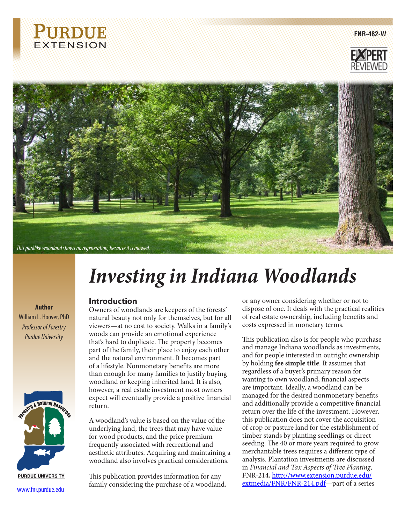

**FNR-482-W**





# *Investing in Indiana Woodlands*

# **Introduction**

Owners of woodlands are keepers of the forests' natural beauty not only for themselves, but for all viewers—at no cost to society. Walks in a family's woods can provide an emotional experience that's hard to duplicate. The property becomes part of the family, their place to enjoy each other and the natural environment. It becomes part of a lifestyle. Nonmonetary benefits are more than enough for many families to justify buying woodland or keeping inherited land. It is also, however, a real estate investment most owners expect will eventually provide a positive financial return.

A woodland's value is based on the value of the underlying land, the trees that may have value for wood products, and the price premium frequently associated with recreational and aesthetic attributes. Acquiring and maintaining a woodland also involves practical considerations.

This publication provides information for any family considering the purchase of a woodland, www.fnr.purdue.edu or any owner considering whether or not to dispose of one. It deals with the practical realities of real estate ownership, including benefits and costs expressed in monetary terms.

This publication also is for people who purchase and manage Indiana woodlands as investments, and for people interested in outright ownership by holding **fee simple title**. It assumes that regardless of a buyer's primary reason for wanting to own woodland, financial aspects are important. Ideally, a woodland can be managed for the desired nonmonetary benefits and additionally provide a competitive financial return over the life of the investment. However, this publication does not cover the acquisition of crop or pasture land for the establishment of timber stands by planting seedlings or direct seeding. The 40 or more years required to grow merchantable trees requires a different type of analysis. Plantation investments are discussed in *Financial and Tax Aspects of Tree Planting*, FNR-214, [http://www.extension.purdue.edu/](http://www.extension.purdue.edu/extmedia/FNR/FNR-214.pdf) [extmedia/FNR/FNR-214.pdf](http://www.extension.purdue.edu/extmedia/FNR/FNR-214.pdf)—part of a series

**Author** William L. Hoover, PhD *Professor of Forestry Purdue University*

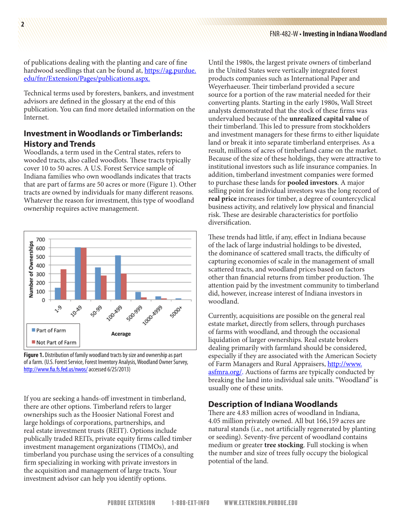of publications dealing with the planting and care of fine hardwood seedlings that can be found at, [https://ag.purdue.](https://ag.purdue.edu/fnr/Extension/Pages/publications.aspx) [edu/fnr/Extension/Pages/publications.aspx](https://ag.purdue.edu/fnr/Extension/Pages/publications.aspx).

Technical terms used by foresters, bankers, and investment advisors are defined in the glossary at the end of this publication. You can find more detailed information on the Internet.

# **Investment in Woodlands or Timberlands: History and Trends**

Woodlands, a term used in the Central states, refers to wooded tracts, also called woodlots. These tracts typically cover 10 to 50 acres. A U.S. Forest Service sample of Indiana families who own woodlands indicates that tracts that are part of farms are 50 acres or more (Figure 1). Other tracts are owned by individuals for many different reasons. Whatever the reason for investment, this type of woodland ownership requires active management.



**Figure 1.** Distribution of family woodland tracts by size and ownership as part of a farm. (U.S. Forest Service, Forest Inventory Analysis, Woodland Owner Survey, <http://www.fia.fs.fed.us/nwos/>accessed 6/25/2013)

If you are seeking a hands-off investment in timberland, there are other options. Timberland refers to larger ownerships such as the Hoosier National Forest and large holdings of corporations, partnerships, and real estate investment trusts (REIT). Options include publically traded REITs, private equity firms called timber investment management organizations (TIMOs), and timberland you purchase using the services of a consulting firm specializing in working with private investors in the acquisition and management of large tracts. Your investment advisor can help you identify options.

Until the 1980s, the largest private owners of timberland in the United States were vertically integrated forest products companies such as International Paper and Weyerhaeuser. Their timberland provided a secure source for a portion of the raw material needed for their converting plants. Starting in the early 1980s, Wall Street analysts demonstrated that the stock of these firms was undervalued because of the **unrealized capital value** of their timberland. This led to pressure from stockholders and investment managers for these firms to either liquidate land or break it into separate timberland enterprises. As a result, millions of acres of timberland came on the market. Because of the size of these holdings, they were attractive to institutional investors such as life insurance companies. In addition, timberland investment companies were formed to purchase these lands for **pooled investors**. A major selling point for individual investors was the long record of **real price** increases for timber, a degree of countercyclical business activity, and relatively low physical and financial risk. These are desirable characteristics for portfolio diversification.

These trends had little, if any, effect in Indiana because of the lack of large industrial holdings to be divested, the dominance of scattered small tracts, the difficulty of capturing economies of scale in the management of small scattered tracts, and woodland prices based on factors other than financial returns from timber production. The attention paid by the investment community to timberland did, however, increase interest of Indiana investors in woodland.

Currently, acquisitions are possible on the general real estate market, directly from sellers, through purchases of farms with woodland, and through the occasional liquidation of larger ownerships. Real estate brokers dealing primarily with farmland should be considered, especially if they are associated with the American Society of Farm Managers and Rural Appraisers, [http://www.](http://www.asfmra.org/) [asfmra.org/.](http://www.asfmra.org/) Auctions of farms are typically conducted by breaking the land into individual sale units. "Woodland" is usually one of these units.

## **Description of Indiana Woodlands**

There are 4.83 million acres of woodland in Indiana, 4.05 million privately owned. All but 166,159 acres are natural stands (i.e., not artificially regenerated by planting or seeding). Seventy-five percent of woodland contains medium or greater **tree stocking**. Full stocking is when the number and size of trees fully occupy the biological potential of the land.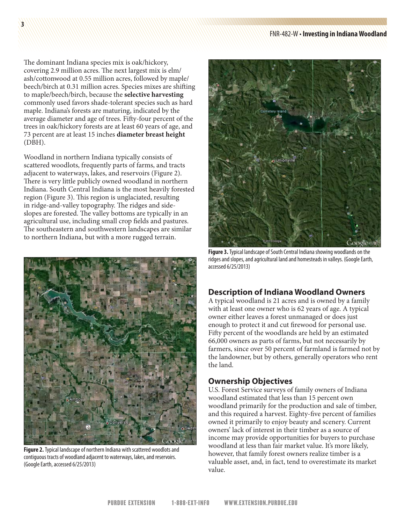#### FNR-482-W • **Investing in Indiana Woodland**

The dominant Indiana species mix is oak/hickory, covering 2.9 million acres. The next largest mix is elm/ ash/cottonwood at 0.55 million acres, followed by maple/ beech/birch at 0.31 million acres. Species mixes are shifting to maple/beech/birch, because the **selective harvesting** commonly used favors shade-tolerant species such as hard maple. Indiana's forests are maturing, indicated by the average diameter and age of trees. Fifty-four percent of the trees in oak/hickory forests are at least 60 years of age, and 73 percent are at least 15 inches **diameter breast height** (DBH).

Woodland in northern Indiana typically consists of scattered woodlots, frequently parts of farms, and tracts adjacent to waterways, lakes, and reservoirs (Figure 2). There is very little publicly owned woodland in northern Indiana. South Central Indiana is the most heavily forested region (Figure 3). This region is unglaciated, resulting in ridge-and-valley topography. The ridges and sideslopes are forested. The valley bottoms are typically in an agricultural use, including small crop fields and pastures. The southeastern and southwestern landscapes are similar to northern Indiana, but with a more rugged terrain.



**Figure 2.** Typical landscape of northern Indiana with scattered woodlots and contiguous tracts of woodland adjacent to waterways, lakes, and reservoirs. (Google Earth, accessed 6/25/2013)



**Figure 3.** Typical landscape of South Central Indiana showing woodlands on the ridges and slopes, and agricultural land and homesteads in valleys. (Google Earth, accessed 6/25/2013)

# **Description of Indiana Woodland Owners**

A typical woodland is 21 acres and is owned by a family with at least one owner who is 62 years of age. A typical owner either leaves a forest unmanaged or does just enough to protect it and cut firewood for personal use. Fifty percent of the woodlands are held by an estimated 66,000 owners as parts of farms, but not necessarily by farmers, since over 50 percent of farmland is farmed not by the landowner, but by others, generally operators who rent the land.

# **Ownership Objectives**

U.S. Forest Service surveys of family owners of Indiana woodland estimated that less than 15 percent own woodland primarily for the production and sale of timber, and this required a harvest. Eighty-five percent of families owned it primarily to enjoy beauty and scenery. Current owners' lack of interest in their timber as a source of income may provide opportunities for buyers to purchase woodland at less than fair market value. It's more likely, however, that family forest owners realize timber is a valuable asset, and, in fact, tend to overestimate its market value.

**3**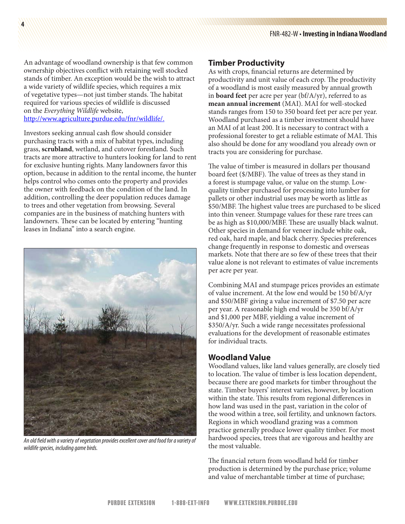An advantage of woodland ownership is that few common ownership objectives conflict with retaining well stocked stands of timber. An exception would be the wish to attract a wide variety of wildlife species, which requires a mix of vegetative types—not just timber stands. The habitat required for various species of wildlife is discussed on the *Everything Wildlife* website, <http://www.agriculture.purdue.edu/fnr/wildlife/>.

**4**

Investors seeking annual cash flow should consider purchasing tracts with a mix of habitat types, including grass, **scrubland**, wetland, and cutover forestland. Such tracts are more attractive to hunters looking for land to rent for exclusive hunting rights. Many landowners favor this option, because in addition to the rental income, the hunter helps control who comes onto the property and provides the owner with feedback on the condition of the land. In addition, controlling the deer population reduces damage to trees and other vegetation from browsing. Several companies are in the business of matching hunters with landowners. These can be located by entering "hunting leases in Indiana" into a search engine.



*An old field with a variety of vegetation provides excellent cover and food for a variety of wildlife species, including game birds.*

#### **Timber Productivity**

As with crops, financial returns are determined by productivity and unit value of each crop. The productivity of a woodland is most easily measured by annual growth in **board feet** per acre per year (bf/A/yr), referred to as **mean annual increment** (MAI). MAI for well-stocked stands ranges from 150 to 350 board feet per acre per year. Woodland purchased as a timber investment should have an MAI of at least 200. It is necessary to contract with a professional forester to get a reliable estimate of MAI. This also should be done for any woodland you already own or tracts you are considering for purchase.

The value of timber is measured in dollars per thousand board feet (\$/MBF). The value of trees as they stand in a forest is stumpage value, or value on the stump. Lowquality timber purchased for processing into lumber for pallets or other industrial uses may be worth as little as \$50/MBF. The highest value trees are purchased to be sliced into thin veneer. Stumpage values for these rare trees can be as high as \$10,000/MBF. These are usually black walnut. Other species in demand for veneer include white oak, red oak, hard maple, and black cherry. Species preferences change frequently in response to domestic and overseas markets. Note that there are so few of these trees that their value alone is not relevant to estimates of value increments per acre per year.

Combining MAI and stumpage prices provides an estimate of value increment. At the low end would be 150 bf/A/yr and \$50/MBF giving a value increment of \$7.50 per acre per year. A reasonable high end would be 350 bf/A/yr and \$1,000 per MBF, yielding a value increment of \$350/A/yr. Such a wide range necessitates professional evaluations for the development of reasonable estimates for individual tracts.

## **Woodland Value**

Woodland values, like land values generally, are closely tied to location. The value of timber is less location dependent, because there are good markets for timber throughout the state. Timber buyers' interest varies, however, by location within the state. This results from regional differences in how land was used in the past, variation in the color of the wood within a tree, soil fertility, and unknown factors. Regions in which woodland grazing was a common practice generally produce lower quality timber. For most hardwood species, trees that are vigorous and healthy are the most valuable.

The financial return from woodland held for timber production is determined by the purchase price; volume and value of merchantable timber at time of purchase;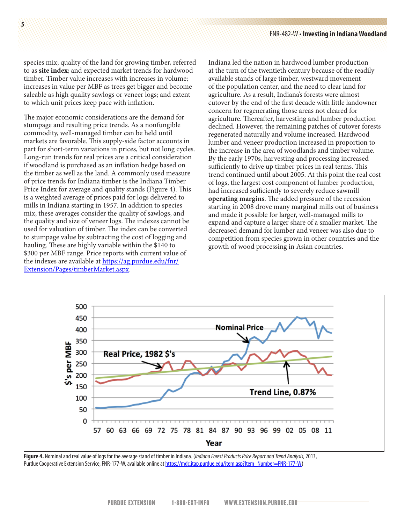species mix; quality of the land for growing timber, referred to as **site index**; and expected market trends for hardwood timber. Timber value increases with increases in volume; increases in value per MBF as trees get bigger and become saleable as high quality sawlogs or veneer logs; and extent to which unit prices keep pace with inflation.

The major economic considerations are the demand for stumpage and resulting price trends. As a nonfungible commodity, well-managed timber can be held until markets are favorable. This supply-side factor accounts in part for short-term variations in prices, but not long cycles. Long-run trends for real prices are a critical consideration if woodland is purchased as an inflation hedge based on the timber as well as the land. A commonly used measure of price trends for Indiana timber is the Indiana Timber Price Index for average and quality stands (Figure 4). This is a weighted average of prices paid for logs delivered to mills in Indiana starting in 1957. In addition to species mix, these averages consider the quality of sawlogs, and the quality and size of veneer logs. The indexes cannot be used for valuation of timber. The index can be converted to stumpage value by subtracting the cost of logging and hauling. These are highly variable within the \$140 to \$300 per MBF range. Price reports with current value of the indexes are available at [https://ag.purdue.edu/fnr/](https://ag.purdue.edu/fnr/Extension/Pages/timberMarket.aspx) [Extension/Pages/timberMarket.aspx](https://ag.purdue.edu/fnr/Extension/Pages/timberMarket.aspx).

Indiana led the nation in hardwood lumber production at the turn of the twentieth century because of the readily available stands of large timber, westward movement of the population center, and the need to clear land for agriculture. As a result, Indiana's forests were almost cutover by the end of the first decade with little landowner concern for regenerating those areas not cleared for agriculture. Thereafter, harvesting and lumber production declined. However, the remaining patches of cutover forests regenerated naturally and volume increased. Hardwood lumber and veneer production increased in proportion to the increase in the area of woodlands and timber volume. By the early 1970s, harvesting and processing increased sufficiently to drive up timber prices in real terms. This trend continued until about 2005. At this point the real cost of logs, the largest cost component of lumber production, had increased sufficiently to severely reduce sawmill **operating margins**. The added pressure of the recession starting in 2008 drove many marginal mills out of business and made it possible for larger, well-managed mills to expand and capture a larger share of a smaller market. The decreased demand for lumber and veneer was also due to competition from species grown in other countries and the growth of wood processing in Asian countries.



**Figure 4.** Nominal and real value of logs for the average stand of timber in Indiana. (*Indiana Forest Products Price Report and Trend Analysis,* 2013, Purdue Cooperative Extension Service, FNR-177-W, available online at [https://mdc.itap.purdue.edu/item.asp?Item\\_Number=FNR-177-W](https://mdc.itap.purdue.edu/item.asp?Item_Number=FNR-177-W))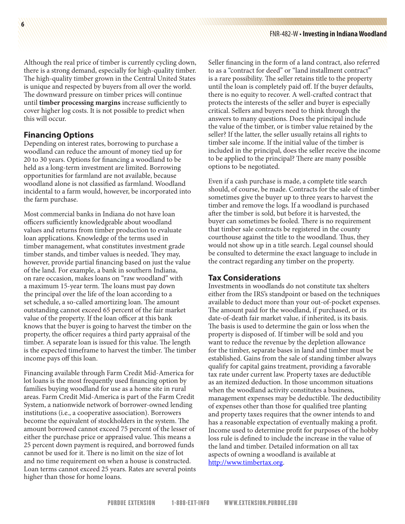Although the real price of timber is currently cycling down, there is a strong demand, especially for high-quality timber. The high-quality timber grown in the Central United States is unique and respected by buyers from all over the world. The downward pressure on timber prices will continue until **timber processing margins** increase sufficiently to cover higher log costs. It is not possible to predict when this will occur.

# **Financing Options**

Depending on interest rates, borrowing to purchase a woodland can reduce the amount of money tied up for 20 to 30 years. Options for financing a woodland to be held as a long-term investment are limited. Borrowing opportunities for farmland are not available, because woodland alone is not classified as farmland. Woodland incidental to a farm would, however, be incorporated into the farm purchase.

Most commercial banks in Indiana do not have loan officers sufficiently knowledgeable about woodland values and returns from timber production to evaluate loan applications. Knowledge of the terms used in timber management, what constitutes investment grade timber stands, and timber values is needed. They may, however, provide partial financing based on just the value of the land. For example, a bank in southern Indiana, on rare occasion, makes loans on "raw woodland" with a maximum 15-year term. The loans must pay down the principal over the life of the loan according to a set schedule, a so-called amortizing loan. The amount outstanding cannot exceed 65 percent of the fair market value of the property. If the loan officer at this bank knows that the buyer is going to harvest the timber on the property, the officer requires a third party appraisal of the timber. A separate loan is issued for this value. The length is the expected timeframe to harvest the timber. The timber income pays off this loan.

Financing available through Farm Credit Mid-America for lot loans is the most frequently used financing option by families buying woodland for use as a home site in rural areas. Farm Credit Mid-America is part of the Farm Credit System, a nationwide network of borrower-owned lending institutions (i.e., a cooperative association). Borrowers become the equivalent of stockholders in the system. The amount borrowed cannot exceed 75 percent of the lesser of either the purchase price or appraised value. This means a 25 percent down payment is required, and borrowed funds cannot be used for it. There is no limit on the size of lot and no time requirement on when a house is constructed. Loan terms cannot exceed 25 years. Rates are several points higher than those for home loans.

Seller financing in the form of a land contract, also referred to as a "contract for deed" or "land installment contract" is a rare possibility. The seller retains title to the property until the loan is completely paid off. If the buyer defaults, there is no equity to recover. A well-crafted contract that protects the interests of the seller and buyer is especially critical. Sellers and buyers need to think through the answers to many questions. Does the principal include the value of the timber, or is timber value retained by the seller? If the latter, the seller usually retains all rights to timber sale income. If the initial value of the timber is included in the principal, does the seller receive the income to be applied to the principal? There are many possible options to be negotiated.

Even if a cash purchase is made, a complete title search should, of course, be made. Contracts for the sale of timber sometimes give the buyer up to three years to harvest the timber and remove the logs. If a woodland is purchased after the timber is sold, but before it is harvested, the buyer can sometimes be fooled. There is no requirement that timber sale contracts be registered in the county courthouse against the title to the woodland. Thus, they would not show up in a title search. Legal counsel should be consulted to determine the exact language to include in the contract regarding any timber on the property.

## **Tax Considerations**

Investments in woodlands do not constitute tax shelters either from the IRS's standpoint or based on the techniques available to deduct more than your out-of-pocket expenses. The amount paid for the woodland, if purchased, or its date-of-death fair market value, if inherited, is its basis. The basis is used to determine the gain or loss when the property is disposed of. If timber will be sold and you want to reduce the revenue by the depletion allowance for the timber, separate bases in land and timber must be established. Gains from the sale of standing timber always qualify for capital gains treatment, providing a favorable tax rate under current law. Property taxes are deductible as an itemized deduction. In those uncommon situations when the woodland activity constitutes a business, management expenses may be deductible. The deductibility of expenses other than those for qualified tree planting and property taxes requires that the owner intends to and has a reasonable expectation of eventually making a profit. Income used to determine profit for purposes of the hobby loss rule is defined to include the increase in the value of the land and timber. Detailed information on all tax aspects of owning a woodland is available at [http://www.timbertax.org.](http://www.timbertax.org)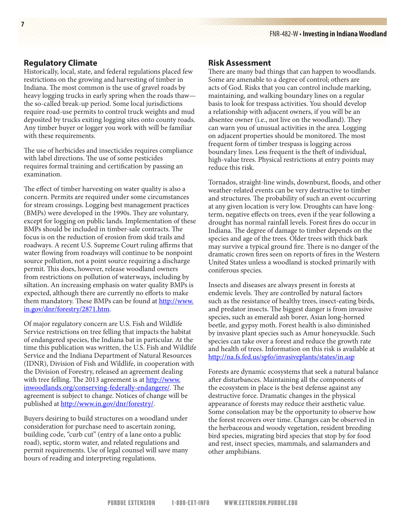#### **Regulatory Climate**

Historically, local, state, and federal regulations placed few restrictions on the growing and harvesting of timber in Indiana. The most common is the use of gravel roads by heavy logging trucks in early spring when the roads thaw the so-called break-up period. Some local jurisdictions require road-use permits to control truck weights and mud deposited by trucks exiting logging sites onto county roads. Any timber buyer or logger you work with will be familiar with these requirements.

The use of herbicides and insecticides requires compliance with label directions. The use of some pesticides requires formal training and certification by passing an examination.

The effect of timber harvesting on water quality is also a concern. Permits are required under some circumstances for stream crossings. Logging best management practices (BMPs) were developed in the 1990s. They are voluntary, except for logging on public lands. Implementation of these BMPs should be included in timber-sale contracts. The focus is on the reduction of erosion from skid trails and roadways. A recent U.S. Supreme Court ruling affirms that water flowing from roadways will continue to be nonpoint source pollution, not a point source requiring a discharge permit. This does, however, release woodland owners from restrictions on pollution of waterways, including by siltation. An increasing emphasis on water quality BMPs is expected, although there are currently no efforts to make them mandatory. These BMPs can be found at [http://www.](http://www.in.gov/dnr/forestry/2871.htm) [in.gov/dnr/forestry/2871.htm.](http://www.in.gov/dnr/forestry/2871.htm)

Of major regulatory concern are U.S. Fish and Wildlife Service restrictions on tree felling that impacts the habitat of endangered species, the Indiana bat in particular. At the time this publication was written, the U.S. Fish and Wildlife Service and the Indiana Department of Natural Resources (IDNR), Division of Fish and Wildlife, in cooperation with the Division of Forestry, released an agreement dealing with tree felling. The 2013 agreement is at [http://www.](http://www.inwoodlands.org/conserving-federally-endangere/) [inwoodlands.org/conserving-federally-endangere/.](http://www.inwoodlands.org/conserving-federally-endangere/) The agreement is subject to change. Notices of change will be published at <http://www.in.gov/dnr/forestry/>.

Buyers desiring to build structures on a woodland under consideration for purchase need to ascertain zoning, building code, "curb cut" (entry of a lane onto a public road), septic, storm water, and related regulations and permit requirements. Use of legal counsel will save many hours of reading and interpreting regulations.

#### **Risk Assessment**

There are many bad things that can happen to woodlands. Some are amenable to a degree of control; others are acts of God. Risks that you can control include marking, maintaining, and walking boundary lines on a regular basis to look for trespass activities. You should develop a relationship with adjacent owners, if you will be an absentee owner (i.e., not live on the woodland). They can warn you of unusual activities in the area. Logging on adjacent properties should be monitored. The most frequent form of timber trespass is logging across boundary lines. Less frequent is the theft of individual, high-value trees. Physical restrictions at entry points may reduce this risk.

Tornados, straight-line winds, downburst, floods, and other weather-related events can be very destructive to timber and structures. The probability of such an event occurring at any given location is very low. Droughts can have longterm, negative effects on trees, even if the year following a drought has normal rainfall levels. Forest fires do occur in Indiana. The degree of damage to timber depends on the species and age of the trees. Older trees with thick bark may survive a typical ground fire. There is no danger of the dramatic crown fires seen on reports of fires in the Western United States unless a woodland is stocked primarily with coniferous species.

Insects and diseases are always present in forests at endemic levels. They are controlled by natural factors such as the resistance of healthy trees, insect-eating birds, and predator insects. The biggest danger is from invasive species, such as emerald ash borer, Asian long-horned beetle, and gypsy moth. Forest health is also diminished by invasive plant species such as Amur honeysuckle. Such species can take over a forest and reduce the growth rate and health of trees. Information on this risk is available at <http://na.fs.fed.us/spfo/invasiveplants/states/in.asp>

Forests are dynamic ecosystems that seek a natural balance after disturbances. Maintaining all the components of the ecosystem in place is the best defense against any destructive force. Dramatic changes in the physical appearance of forests may reduce their aesthetic value. Some consolation may be the opportunity to observe how the forest recovers over time. Changes can be observed in the herbaceous and woody vegetation, resident breeding bird species, migrating bird species that stop by for food and rest, insect species, mammals, and salamanders and other amphibians.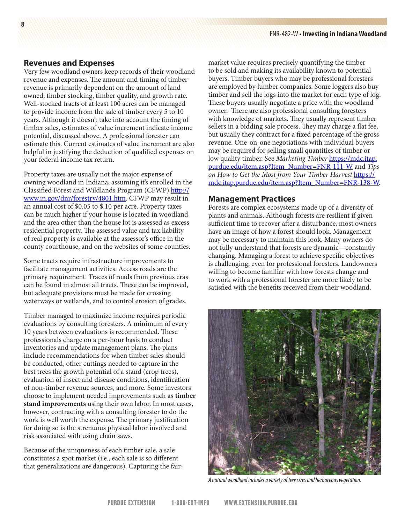#### **Revenues and Expenses**

Very few woodland owners keep records of their woodland revenue and expenses. The amount and timing of timber revenue is primarily dependent on the amount of land owned, timber stocking, timber quality, and growth rate. Well-stocked tracts of at least 100 acres can be managed to provide income from the sale of timber every 5 to 10 years. Although it doesn't take into account the timing of timber sales, estimates of value increment indicate income potential, discussed above. A professional forester can estimate this. Current estimates of value increment are also helpful in justifying the deduction of qualified expenses on your federal income tax return.

Property taxes are usually not the major expense of owning woodland in Indiana, assuming it's enrolled in the Classified Forest and Wildlands Program (CFWP) [http://](http://www.in.gov/dnr/forestry/4801.htm) [www.in.gov/dnr/forestry/4801.htm](http://www.in.gov/dnr/forestry/4801.htm). CFWP may result in an annual cost of \$0.05 to \$.10 per acre. Property taxes can be much higher if your house is located in woodland and the area other than the house lot is assessed as excess residential property. The assessed value and tax liability of real property is available at the assessor's office in the county courthouse, and on the websites of some counties.

Some tracts require infrastructure improvements to facilitate management activities. Access roads are the primary requirement. Traces of roads from previous eras can be found in almost all tracts. These can be improved, but adequate provisions must be made for crossing waterways or wetlands, and to control erosion of grades.

Timber managed to maximize income requires periodic evaluations by consulting foresters. A minimum of every 10 years between evaluations is recommended. These professionals charge on a per-hour basis to conduct inventories and update management plans. The plans include recommendations for when timber sales should be conducted, other cuttings needed to capture in the best trees the growth potential of a stand (crop trees), evaluation of insect and disease conditions, identification of non-timber revenue sources, and more. Some investors choose to implement needed improvements such as **timber stand improvements** using their own labor. In most cases, however, contracting with a consulting forester to do the work is well worth the expense. The primary justification for doing so is the strenuous physical labor involved and risk associated with using chain saws.

Because of the uniqueness of each timber sale, a sale constitutes a spot market (i.e., each sale is so different that generalizations are dangerous). Capturing the fairmarket value requires precisely quantifying the timber to be sold and making its availability known to potential buyers. Timber buyers who may be professional foresters are employed by lumber companies. Some loggers also buy timber and sell the logs into the market for each type of log. These buyers usually negotiate a price with the woodland owner. There are also professional consulting foresters with knowledge of markets. They usually represent timber sellers in a bidding sale process. They may charge a flat fee, but usually they contract for a fixed percentage of the gross revenue. One-on-one negotiations with individual buyers may be required for selling small quantities of timber or low quality timber. See *Marketing Timber* [https://mdc.itap.](https://mdc.itap.purdue.edu/item.asp?Item_Number=FNR-111-W) [purdue.edu/item.asp?Item\\_Number=FNR-111-W](https://mdc.itap.purdue.edu/item.asp?Item_Number=FNR-111-W) and *Tips*  on How to Get the Most from Your Timber Harvest **[https://](https://mdc.itap.purdue.edu/item.asp?Item_Number=FNR-138-W)** [mdc.itap.purdue.edu/item.asp?Item\\_Number=FNR-138-W.](https://mdc.itap.purdue.edu/item.asp?Item_Number=FNR-138-W)

#### **Management Practices**

Forests are complex ecosystems made up of a diversity of plants and animals. Although forests are resilient if given sufficient time to recover after a disturbance, most owners have an image of how a forest should look. Management may be necessary to maintain this look. Many owners do not fully understand that forests are dynamic—constantly changing. Managing a forest to achieve specific objectives is challenging, even for professional foresters. Landowners willing to become familiar with how forests change and to work with a professional forester are more likely to be satisfied with the benefits received from their woodland.



*A natural woodland includes a variety of tree sizes and herbaceous vegetation.*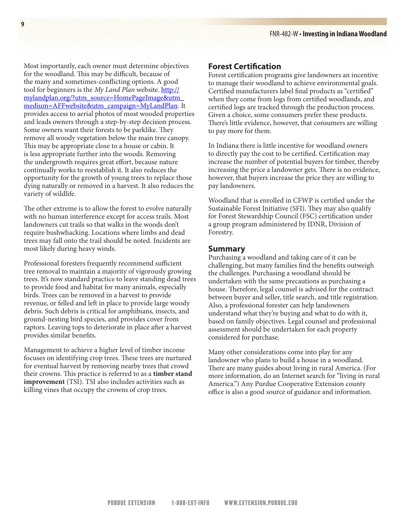Most importantly, each owner must determine objectives for the woodland. This may be difficult, because of the many and sometimes-conflicting options. A good tool for beginners is the *My Land Plan* website. **[http://](http://mylandplan.org/?utm_source=HomePageImage&utm_medium=AFFwebsite&utm_campaign=MyLandPlan)** [mylandplan.org/?utm\\_source=HomePageImage&utm\\_](http://mylandplan.org/?utm_source=HomePageImage&utm_medium=AFFwebsite&utm_campaign=MyLandPlan) [medium=AFFwebsite&utm\\_campaign=MyLandPlan.](http://mylandplan.org/?utm_source=HomePageImage&utm_medium=AFFwebsite&utm_campaign=MyLandPlan) It provides access to aerial photos of most wooded properties and leads owners through a step-by-step decision process. Some owners want their forests to be parklike. They remove all woody vegetation below the main tree canopy. This may be appropriate close to a house or cabin. It is less appropriate further into the woods. Removing the undergrowth requires great effort, because nature continually works to reestablish it. It also reduces the opportunity for the growth of young trees to replace those dying naturally or removed in a harvest. It also reduces the variety of wildlife.

The other extreme is to allow the forest to evolve naturally with no human interference except for access trails. Most landowners cut trails so that walks in the woods don't require bushwhacking. Locations where limbs and dead trees may fall onto the trail should be noted. Incidents are most likely during heavy winds.

Professional foresters frequently recommend sufficient tree removal to maintain a majority of vigorously growing trees. It's now standard practice to leave standing dead trees to provide food and habitat for many animals, especially birds. Trees can be removed in a harvest to provide revenue, or felled and left in place to provide large woody debris. Such debris is critical for amphibians, insects, and ground-nesting bird species, and provides cover from raptors. Leaving tops to deteriorate in place after a harvest provides similar benefits.

Management to achieve a higher level of timber income focuses on identifying crop trees. These trees are nurtured for eventual harvest by removing nearby trees that crowd their crowns. This practice is referred to as a **timber stand improvement** (TSI). TSI also includes activities such as killing vines that occupy the crowns of crop trees.

## **Forest Certification**

Forest certification programs give landowners an incentive to manage their woodland to achieve environmental goals. Certified manufacturers label final products as "certified" when they come from logs from certified woodlands, and certified logs are tracked through the production process. Given a choice, some consumers prefer these products. There's little evidence, however, that consumers are willing to pay more for them.

In Indiana there is little incentive for woodland owners to directly pay the cost to be certified. Certification may increase the number of potential buyers for timber, thereby increasing the price a landowner gets. There is no evidence, however, that buyers increase the price they are willing to pay landowners.

Woodland that is enrolled in CFWP is certified under the Sustainable Forest Initiative (SFI). They may also qualify for Forest Stewardship Council (FSC) certification under a group program administered by IDNR, Division of Forestry.

#### **Summary**

Purchasing a woodland and taking care of it can be challenging, but many families find the benefits outweigh the challenges. Purchasing a woodland should be undertaken with the same precautions as purchasing a house. Therefore, legal counsel is advised for the contract between buyer and seller, title search, and title registration. Also, a professional forester can help landowners understand what they're buying and what to do with it, based on family objectives. Legal counsel and professional assessment should be undertaken for each property considered for purchase.

Many other considerations come into play for any landowner who plans to build a house in a woodland. There are many guides about living in rural America. (For more information, do an Internet search for "living in rural America.") Any Purdue Cooperative Extension county office is also a good source of guidance and information.